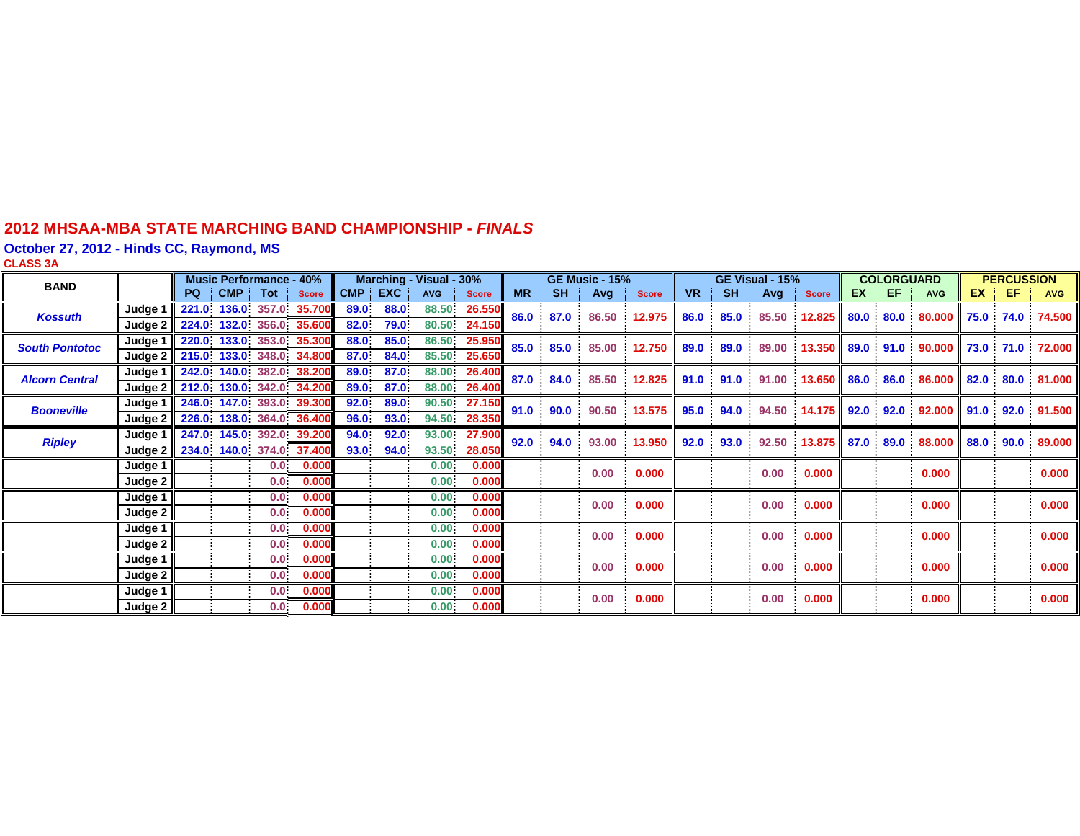#### **2012 MHSAA-MBA STATE MARCHING BAND CHAMPIONSHIP -** *FINAL S*

**October 27, 2012 - Hinds CC, Raymond, MS**

**CLASS 3 A**

| <b>BAND</b>           |                           | <b>Music Performance - 40%</b> |       |                  | Marching - Visual - 30% |         |      |            | <b>GE Music - 15%</b> |           |           | GE Visual - 15% |              |           | <b>COLORGUARD</b> |       |              | <b>PERCUSSION</b> |      |             |                              |      |            |
|-----------------------|---------------------------|--------------------------------|-------|------------------|-------------------------|---------|------|------------|-----------------------|-----------|-----------|-----------------|--------------|-----------|-------------------|-------|--------------|-------------------|------|-------------|------------------------------|------|------------|
|                       |                           | <b>PQ</b>                      | CMP i | Tot              | <b>Score</b>            | CMP EXC |      | <b>AVG</b> | <b>Score</b>          | <b>MR</b> | <b>SH</b> | Avg             | <b>Score</b> | <b>VR</b> | <b>SH</b>         | Avg   | <b>Score</b> | EX                | EF.  | <b>AVG</b>  | <b>EX</b>                    | EF.  | <b>AVG</b> |
| <b>Kossuth</b>        | Judge 1                   | 221.0                          | 136.0 | 357.0            | 35.700                  | 89.0    | 88.0 | 88.50      | 26.550                | 86.0      | 87.0      | 86.50           | 12.975       | 86.0      | 85.0              | 85.50 | 12.825       | 80.0              | 80.0 | 80.000 75.0 |                              | 74.0 | 74.500     |
|                       | Judge 2                   | 224.0                          | 132.0 | 356.0            | 35.600                  | 82.0    | 79.0 | 80.50      | 24.150                |           |           |                 |              |           |                   |       |              |                   |      |             |                              |      |            |
| <b>South Pontotoc</b> | Judge 1                   | 220.0                          | 133.0 |                  | 353.0 35.300            | 88.0    | 85.0 | 86.50      | 25.950                | 85.0      | 85.0      | 85.00           | 12.750       | 89.0      | 89.0              | 89.00 | 13.350       | 89.0              | 91.0 | 90.000      | $\blacksquare$ 73.0 71.0     |      | 72.000     |
|                       | Judge $2 \parallel 215.0$ |                                | 133.0 | 348.0            | 34.800                  | 87.0    | 84.0 | 85.50      | 25.650                |           |           |                 |              |           |                   |       |              |                   |      |             |                              |      |            |
| <b>Alcorn Central</b> | Judge 1                   | 242.0                          | 140.0 | 382.0            | 38,200                  | 89.0    | 87.0 | 88.00      | 26.400                | 87.0      | 84.0      | 85.50           | 12.825       | 91.0      | 91.0              | 91.00 | 13.650       | 86.0              | 86.0 | 86.000 82.0 |                              | 80.0 | 81.000 l   |
|                       | Judge $2 \parallel 212.0$ |                                | 130.0 |                  | 342.0 34.200            | 89.0    | 87.0 | 88.00      | 26.400                |           |           |                 |              |           |                   |       |              |                   |      |             |                              |      |            |
| <b>Booneville</b>     | Judge 1                   | 246.0                          | 147.0 | 393.0            | 39.300                  | 92.0    | 89.0 | 90.50      | 27.150                | 91.0      | 90.0      | 90.50           | 13.575       | 95.0      | 94.0              | 94.50 | 14.175       | 92.0              | 92.0 | 92.000      | $\parallel$ 91.0 $\parallel$ | 92.0 | 91.500 l   |
|                       | Judge 2                   | 226.0                          | 138.0 | 364.0            | 36.400                  | 96.0    | 93.0 | 94.50      | 28.350                |           |           |                 |              |           |                   |       |              |                   |      |             |                              |      |            |
| <b>Ripley</b>         | Judge 1                   | 247.0                          | 145.0 | 392.0            | 39.200                  | 94.0    | 92.0 | 93.00      | 27.900                | 92.0      | 94.0      | 93.00           | 13.950       | 92.0      | 93.0              | 92.50 | 13.875       | 87.0<br>89.0      |      | 88.000 88.0 |                              | 90.0 | 89.000     |
|                       | Judge $2$   $234.0$ 140.0 |                                |       |                  | 374.0 37.400            | 93.0    | 94.0 | 93.50      | 28.050                |           |           |                 |              |           |                   |       |              |                   |      |             |                              |      |            |
|                       | Judge 1                   |                                |       | 0.0 <sup>1</sup> | 0.000                   |         |      | 0.00       | 0.000                 |           |           | 0.00            | 0.000        |           |                   | 0.00  | 0.000        |                   |      | 0.000       |                              |      | 0.000      |
|                       | Judge 2                   |                                |       | 0.0              | 0.000                   |         |      | 0.00       | 0.000                 |           |           |                 |              |           |                   |       |              |                   |      |             |                              |      |            |
|                       | Judge 1                   |                                |       | 0.0              | 0.000                   |         |      | 0.00       | 0.000                 |           |           | 0.00            | 0.000        |           |                   | 0.00  | 0.000        |                   |      | 0.000       |                              |      | 0.000      |
|                       | Judge 2                   |                                |       | 0.0 <sub>1</sub> | 0.000                   |         |      | 0.00       | 0.000                 |           |           |                 |              |           |                   |       |              |                   |      |             |                              |      |            |
|                       | Judge 1                   |                                |       | 0.0 <sub>1</sub> | 0.000                   |         |      | 0.00       | 0.000                 |           |           | 0.00            | 0.000        |           |                   | 0.00  | 0.000        |                   |      | 0.000       |                              |      | 0.000      |
|                       | Judge 2                   |                                |       | 0.0.             | 0.000                   |         |      | 0.00       | 0.000                 |           |           |                 |              |           |                   |       |              |                   |      |             |                              |      |            |
|                       | Judge 1                   |                                |       | 0.0 <sub>1</sub> | 0.000                   |         |      | 0.00       | 0.000                 |           |           | 0.00            | 0.000        |           |                   | 0.00  | 0.000        |                   |      | 0.000       |                              |      | 0.000      |
|                       | Judge 2                   |                                |       | 0.0              | 0.000                   |         |      | 0.00       | 0.000                 |           |           |                 |              |           |                   |       |              |                   |      |             |                              |      |            |
|                       | Judge 1                   |                                |       | 0.0              | 0.000                   |         |      | 0.00       | 0.000                 |           |           | 0.00            | 0.000        |           |                   | 0.00  | 0.000        |                   |      | 0.000       |                              |      | 0.000      |
|                       | Judge $2 \parallel$       |                                |       | 0.0 <sub>1</sub> | 0.000                   |         |      | 0.00.      | 0.000                 |           |           |                 |              |           |                   |       |              |                   |      |             |                              |      |            |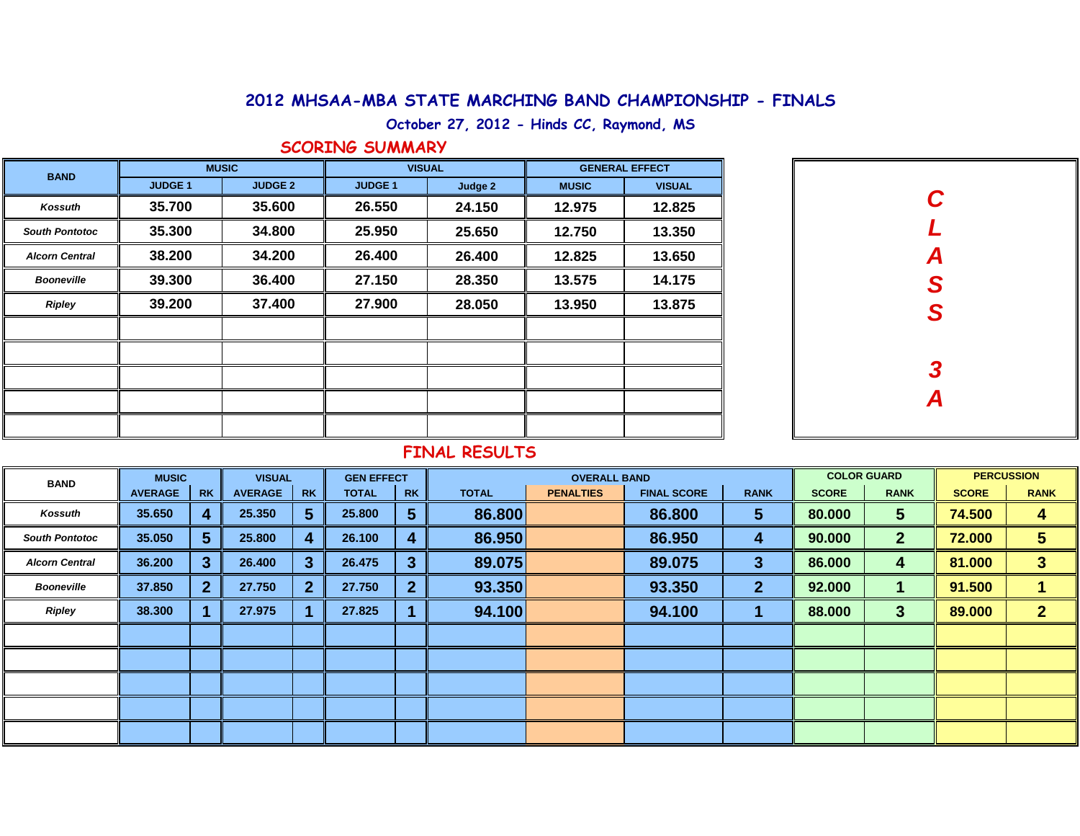### **2012 MHSAA-MBA STATE MARCHING BAND CHAMPIONSHIP - FINALS**

**October 27, 2012 - Hinds CC, Raymond, MS**

#### **SCORING SUMMARY**

| <b>BAND</b>           |                | <b>MUSIC</b>   | <b>VISUAL</b> |         | <b>GENERAL EFFECT</b> |               |  |  |
|-----------------------|----------------|----------------|---------------|---------|-----------------------|---------------|--|--|
|                       | <b>JUDGE 1</b> | <b>JUDGE 2</b> | <b>JUDGE1</b> | Judge 2 | <b>MUSIC</b>          | <b>VISUAL</b> |  |  |
| <b>Kossuth</b>        | 35.700         | 35.600         | 26.550        | 24.150  | 12.975                | 12.825        |  |  |
| <b>South Pontotoc</b> | 35.300         | 34.800         | 25.950        | 25.650  | 12.750                | 13.350        |  |  |
| <b>Alcorn Central</b> | 38.200         | 34.200         | 26.400        | 26.400  | 12.825                | 13.650        |  |  |
| <b>Booneville</b>     | 39.300         | 36.400         | 27.150        | 28.350  | 13.575                | 14.175        |  |  |
| <b>Ripley</b>         | 39.200         | 37.400         | 27.900        | 28.050  | 13.950                | 13.875        |  |  |
|                       |                |                |               |         |                       |               |  |  |
|                       |                |                |               |         |                       |               |  |  |
|                       |                |                |               |         |                       |               |  |  |
|                       |                |                |               |         |                       |               |  |  |
|                       |                |                |               |         |                       |               |  |  |

| CLASS         |
|---------------|
|               |
|               |
|               |
|               |
| $\frac{3}{4}$ |
|               |
|               |

#### **FINAL RESULTS**

| <b>BAND</b>           | <b>MUSIC</b>   |                | <b>VISUAL</b>  |           | <b>GEN EFFECT</b> |                | <b>OVERALL BAND</b> |                  |                    |              | <b>COLOR GUARD</b> |              | <b>PERCUSSION</b> |                         |
|-----------------------|----------------|----------------|----------------|-----------|-------------------|----------------|---------------------|------------------|--------------------|--------------|--------------------|--------------|-------------------|-------------------------|
|                       | <b>AVERAGE</b> | <b>RK</b>      | <b>AVERAGE</b> | <b>RK</b> | <b>TOTAL</b>      | <b>RK</b>      | <b>TOTAL</b>        | <b>PENALTIES</b> | <b>FINAL SCORE</b> | <b>RANK</b>  | <b>SCORE</b>       | <b>RANK</b>  | <b>SCORE</b>      | <b>RANK</b>             |
| Kossuth               | 35.650         | 4              | 25.350         | 5         | 25.800            | 5              | 86.800              |                  | 86.800             | 5            | 80.000             | $\sqrt{5}$   | 74.500            | 4                       |
| <b>South Pontotoc</b> | 35.050         | 5.             | 25.800         |           | 26.100            | 4              | 86.950              |                  | 86.950             | 4            | 90.000             | $\mathbf{2}$ | 72.000            | 5                       |
| <b>Alcorn Central</b> | 36.200         | 3              | 26.400         | 3         | 26.475            | 3              | 89.075              |                  | 89.075             | 3            | 86.000             | 4            | 81.000            | $\overline{\mathbf{3}}$ |
| <b>Booneville</b>     | 37.850         | 2 <sup>1</sup> | 27.750         | 2         | 27.750            | $\overline{2}$ | 93.350              |                  | 93.350             | $\mathbf{2}$ | 92.000             |              | 91.500            |                         |
| <b>Ripley</b>         | 38.300         |                | 27.975         |           | 27.825            |                | 94.100              |                  | 94.100             |              | 88.000             | 3            | 89.000            | $\mathbf{2}$            |
|                       |                |                |                |           |                   |                |                     |                  |                    |              |                    |              |                   |                         |
|                       |                |                |                |           |                   |                |                     |                  |                    |              |                    |              |                   |                         |
|                       |                |                |                |           |                   |                |                     |                  |                    |              |                    |              |                   |                         |
|                       |                |                |                |           |                   |                |                     |                  |                    |              |                    |              |                   |                         |
|                       |                |                |                |           |                   |                |                     |                  |                    |              |                    |              |                   |                         |